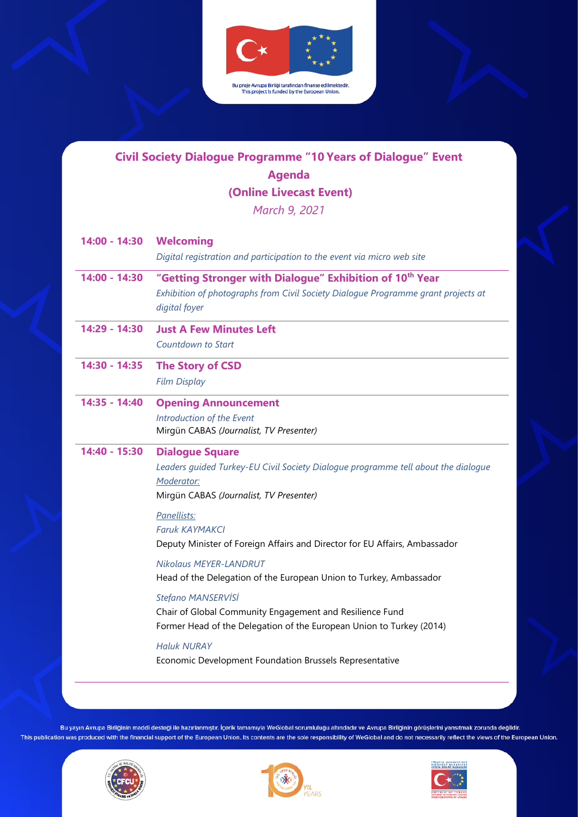

### **Civil Society Dialogue Programme "10 Years of Dialogue" Event Agenda (Online Livecast Event)**  *March 9, 2021*

| 14:00 - 14:30   | <b>Welcoming</b><br>Digital registration and participation to the event via micro web site                                                                                 |  |
|-----------------|----------------------------------------------------------------------------------------------------------------------------------------------------------------------------|--|
| $14:00 - 14:30$ | "Getting Stronger with Dialogue" Exhibition of 10 <sup>th</sup> Year<br>Exhibition of photographs from Civil Society Dialogue Programme grant projects at<br>digital foyer |  |
| 14:29 - 14:30   | <b>Just A Few Minutes Left</b><br><b>Countdown to Start</b>                                                                                                                |  |
| 14:30 - 14:35   | <b>The Story of CSD</b><br><b>Film Display</b>                                                                                                                             |  |
| 14:35 - 14:40   | <b>Opening Announcement</b><br>Introduction of the Event<br>Mirgün CABAS (Journalist, TV Presenter)                                                                        |  |
| 14:40 - 15:30   | <b>Dialogue Square</b><br>Leaders guided Turkey-EU Civil Society Dialogue programme tell about the dialogue<br>Moderator:<br>Mirgün CABAS (Journalist, TV Presenter)       |  |
|                 | Panellists:<br><b>Faruk KAYMAKCI</b><br>Deputy Minister of Foreign Affairs and Director for EU Affairs, Ambassador                                                         |  |
|                 | <b>Nikolaus MEYER-LANDRUT</b><br>Head of the Delegation of the European Union to Turkey, Ambassador                                                                        |  |
|                 | Stefano MANSERVISI<br>Chair of Global Community Engagement and Resilience Fund<br>Former Head of the Delegation of the European Union to Turkey (2014)                     |  |
|                 | <b>Haluk NURAY</b><br>Economic Development Foundation Brussels Representative                                                                                              |  |





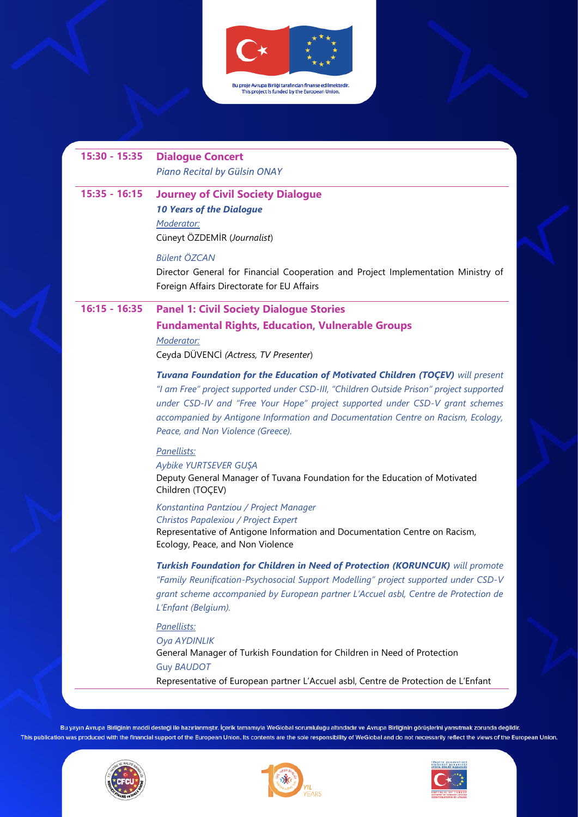

## **15:30 - 15:35 Dialogue Concert**

*Piano Recital by Gülsin ONAY*

#### **15:35 - 16:15 Journey of Civil Society Dialogue** *10 Years of the Dialogue Moderator:*

Cüneyt ÖZDEMİR (*Journalist*)

#### *Bülent ÖZCAN*

Director General for Financial Cooperation and Project Implementation Ministry of Foreign Affairs Directorate for EU Affairs

#### **16:15 - 16:35 Panel 1: Civil Society Dialogue Stories**

## **Fundamental Rights, Education, Vulnerable Groups**

*Moderator:*  Ceyda DÜVENCİ *(Actress, TV Presenter*)

*Tuvana Foundation for the Education of Motivated Children (TOÇEV) will present "I am Free" project supported under CSD-III, "Children Outside Prison" project supported under CSD-IV and "Free Your Hope" project supported under CSD-V grant schemes accompanied by Antigone Information and Documentation Centre on Racism, Ecology, Peace, and Non Violence (Greece).*

#### *Panellists:*

*Aybike YURTSEVER GUŞA* Deputy General Manager of Tuvana Foundation for the Education of Motivated Children (TOÇEV)

*Konstantina Pantziou / Project Manager Christos Papalexiou / Project Expert*

Representative of Antigone Information and Documentation Centre on Racism, Ecology, Peace, and Non Violence

*Turkish Foundation for Children in Need of Protection (KORUNCUK) will promote "Family Reunification-Psychosocial Support Modelling" project supported under CSD-V grant scheme accompanied by European partner L'Accuel asbl, Centre de Protection de L'Enfant (Belgium).*

#### *Panellists:*

*Oya AYDINLIK* General Manager of Turkish Foundation for Children in Need of Protection Guy *BAUDOT* Representative of European partner L'Accuel asbl, Centre de Protection de L'Enfant





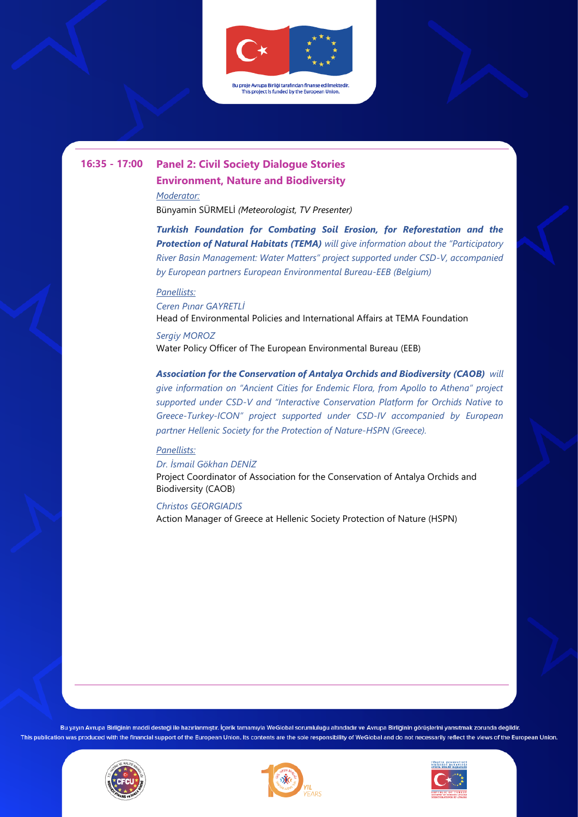

# **16:35 - 17:00 Panel 2: Civil Society Dialogue Stories**

**Environment, Nature and Biodiversity** *Moderator:* 

Bünyamin SÜRMELİ *(Meteorologist, TV Presenter)*

*Turkish Foundation for Combating Soil Erosion, for Reforestation and the Protection of Natural Habitats (TEMA) will give information about the "Participatory River Basin Management: Water Matters" project supported under CSD-V, accompanied by European partners European Environmental Bureau-EEB (Belgium)*

#### *Panellists:*

*Ceren Pınar GAYRETLİ* Head of Environmental Policies and International Affairs at TEMA Foundation

*Sergiy MOROZ* Water Policy Officer of The European Environmental Bureau (EEB)

*Association for the Conservation of Antalya Orchids and Biodiversity (CAOB) will give information on "Ancient Cities for Endemic Flora, from Apollo to Athena" project supported under CSD-V and "Interactive Conservation Platform for Orchids Native to Greece-Turkey-ICON" project supported under CSD-IV accompanied by European partner Hellenic Society for the Protection of Nature-HSPN (Greece).*

#### *Panellists:*

*Dr. İsmail Gökhan DENİZ* Project Coordinator of Association for the Conservation of Antalya Orchids and Biodiversity (CAOB)

#### *Christos GEORGIADIS*

Action Manager of Greece at Hellenic Society Protection of Nature (HSPN)





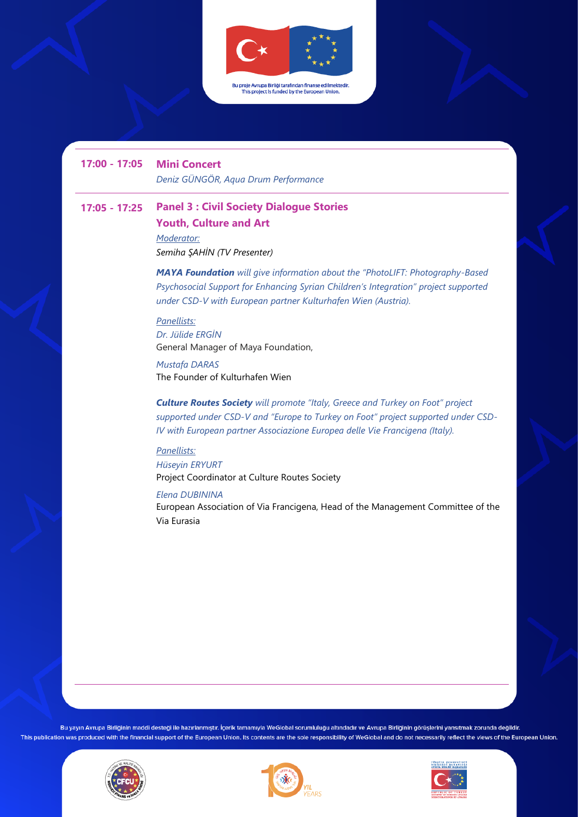

**17:00 - 17:05 Mini Concert**

*Deniz GÜNGÖR, Aqua Drum Performance* 

## **17:05 - 17:25 Panel 3 : Civil Society Dialogue Stories Youth, Culture and Art**

*Moderator: Semiha ŞAHİN (TV Presenter)*

*MAYA Foundation will give information about the "PhotoLIFT: Photography-Based Psychosocial Support for Enhancing Syrian Children's Integration" project supported under CSD-V with European partner Kulturhafen Wien (Austria).*

#### *Panellists:*

*Dr. Jülide ERGİN* General Manager of Maya Foundation,

*Mustafa DARAS*  The Founder of Kulturhafen Wien

*Culture Routes Society will promote "Italy, Greece and Turkey on Foot" project supported under CSD-V and "Europe to Turkey on Foot" project supported under CSD-IV with European partner Associazione Europea delle Vie Francigena (Italy).*

#### *Panellists:*

*Hüseyin ERYURT* Project Coordinator at Culture Routes Society

*Elena DUBININA*

European Association of Via Francigena, Head of the Management Committee of the Via Eurasia





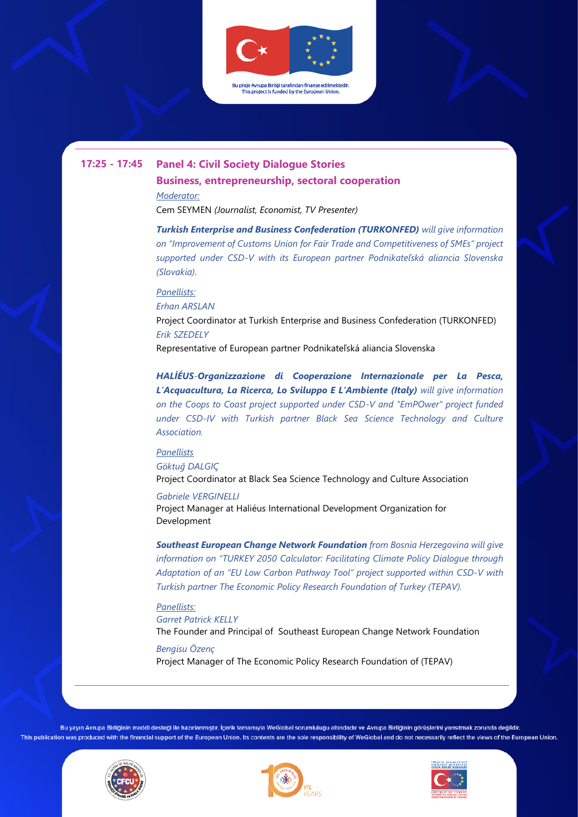

### **17:25 - 17:45 Panel 4: Civil Society Dialogue Stories**

**Business, entrepreneurship, sectoral cooperation** *Moderator:* 

Cem SEYMEN *(Journalist, Economist, TV Presenter)*

*Turkish Enterprise and Business Confederation (TURKONFED) will give information on "Improvement of Customs Union for Fair Trade and Competitiveness of SMEs" project supported under CSD-V with its European partner Podnikateľská aliancia Slovenska (Slovakia).*

#### *Panellists:*

*Erhan ARSLAN*

Project Coordinator at Turkish Enterprise and Business Confederation (TURKONFED) *Erik SZEDELY*

Representative of European partner Podnikateľská aliancia Slovenska

*HALİÉUS-Organizzazione di Cooperazione Internazionale per La Pesca, L'Acquacultura, La Ricerca, Lo Sviluppo E L'Ambiente (Italy) will give information on the Coops to Coast project supported under CSD-V and "EmPOwer" project funded under CSD-IV with Turkish partner Black Sea Science Technology and Culture Association.* 

#### *Panellists*

*Göktuğ DALGIÇ*  Project Coordinator at Black Sea Science Technology and Culture Association

*Gabriele VERGINELLI* Project Manager at Haliéus International Development Organization for Development

*Southeast European Change Network Foundation from Bosnia Herzegovina will give information on "TURKEY 2050 Calculator: Facilitating Climate Policy Dialogue through Adaptation of an "EU Low Carbon Pathway Tool" project supported within CSD-V with Turkish partner The Economic Policy Research Foundation of Turkey (TEPAV).*

*Panellists: Garret Patrick KELLY* The Founder and Principal of Southeast European Change Network Foundation

*Bengisu Özenç* Project Manager of The Economic Policy Research Foundation of (TEPAV)